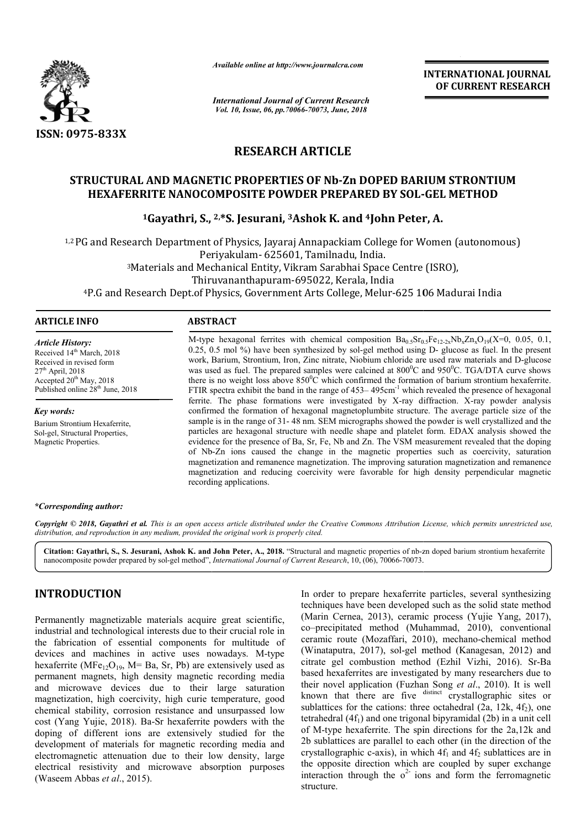

*Available online at http://www.journalcra.com*

*International Journal of Current Research Vol. 10, Issue, 06, pp.70066-70073, June, 2018*

**INTERNATIONAL JOURNAL OF CURRENT RESEARCH**

# **RESEARCH ARTICLE**

## **STRUCTURAL AND MAGNETIC PROPERTIES OF Nb Nb-Zn DOPED BARIUM STRONTIUM RUCTURAL AND MAGNETIC PROPERTIES OF Nb-Zn DOPED BARIUM STRONTI<br>HEXAFERRITE NANOCOMPOSITE POWDER PREPARED BY SOL-GEL METHOD**

# <sup>1</sup>Gayathri, S., <sup>2,\*</sup>S. Jesurani, <sup>3</sup>Ashok K. and <sup>4</sup>John Peter, A.

<sup>1,2</sup> PG and Research Department of Physics, Jayaraj Annapackiam College for Women (autonomous)<br>Periyakulam- 625601, Tamilnadu, India.<br><sup>3</sup>Materials and Mechanical Entity, Vikram Sarabhai Space Centre (ISRO),<br>Thiruvananthap Periyak Periyakulam- 625601, Tamilnadu, India. 3Materials and Mechanical Entity, Vikram Sarabhai Space Centre (ISRO), Materials Thiruvananthapuram-695022, Kerala, India Thiruvananthapuram-695022, Kerala, India 4P.G and Research Dept.of Physics, Government Arts College, Melur Melur-625 106

#### **ARTICLE INFO ABSTRACT**

*Article History:* Received 14<sup>th</sup> March, 2018 Received in revised form 27th April, 2018 Accepted 20<sup>th</sup> May, 2018 Published online 28<sup>th</sup> June, 2018

*Key words:* Barium Strontium Hexaferrite, Sol-gel, Structural Properties, Magnetic Properties.

M-type hexagonal ferrites with chemical composition  $Ba_{0.5}Sr_{0.5}Fe_{12-2x}Nb_xZn_xO_{19}(X=0, 0.05, 0.1,$ 0.25, 0.5 mol %) have been synthesized by sol-gel method using D- glucose as fuel. In the present work, Barium, Strontium, Iron, Zinc nitrate, Niobium chloride are used raw materials and D-glucose was used as fuel. The prepared samples were calcined at  $800^{\circ}$ C and  $950^{\circ}$ C. TGA/DTA curve shows there is no weight loss above  $850^{\circ}$ C which confirmed the formation of barium strontium hexaferrite. FTIR spectra exhibit the band in the range of 453–495cm<sup>-1</sup> which revealed the presence of hexagonal ferrite. The phase formations were investigated by X X-ray diffraction. X confirmed the formation of hexagonal magnetoplumbite structure. The average particle size of the confirmed the formation of hexagonal magnetoplumbite structure. The average particle size of the sample is in the range of 31-48 nm. SEM micrographs showed the powder is well crystallized and the particles are hexagonal structure with needle shape and platelet form. EDAX analysis showed the evidence for the presence of Ba, Sr, Fe, Nb and Zn. The VSM measurement revealed that the doping of Nb Nb-Zn ions caused the change in the magnetic properties such as coercivity, saturation magnetization and remanence magnetization. The improving saturation magnetization and remanence magnetization and reducing coercivity were favorable for high density perpendicular magnetic recordi recording applications. which confirmed the formation of barium strontium hexaferrite.<br>range of 453–495cm<sup>-1</sup> which revealed the presence of hexagonal<br>e investigated by X-ray diffraction. X-ray powder analysis particles are hexagonal structure with needle shape and platelet form. EDAX analysis showed the evidence for the presence of Ba, Sr, Fe, Nb and Zn. The VSM measurement revealed that the doping of Nb-Zn ions caused the chan

#### *\*Corresponding author:*

Copyright © 2018, Gayathri et al. This is an open access article distributed under the Creative Commons Attribution License, which permits unrestricted use, *distribution, and reproduction in any medium, provided the original work is properly cited.*

Citation: Gayathri, S., S. Jesurani, Ashok K. and John Peter, A., 2018. "Structural and magnetic properties of nb-zn doped barium strontium hexaferrite nanocomposite powder prepared by sol-gel method", *International Journ* nanocomposite powder prepared by sol-gel method", *International Journal of Current Research*, 10, (06), 70066-70073.

### **INTRODUCTION**

Permanently magnetizable materials acquire great scientific, industrial and technological interests due to their crucial role in the fabrication of essential components for multitude of devices and machines in active uses nowadays. M M-type hexaferrite (MFe<sub>12</sub>O<sub>19</sub>, M= Ba, Sr, Pb) are extensively used as permanent magnets, high density magnetic recording media and microwave devices due to their large satur magnetization, high coercivity, high curie temperature, good chemical stability, corrosion resistance and unsurpassed low cost (Yang Yujie, 2018). Ba-Sr hexaferrite powders with the doping of different ions are extensively studied for the development of materials for magnetic recording media and electromagnetic attenuation due to their low density, large electrical resistivity and microwave absorption purposes (Waseem Abbas *et al*., 2015). , M= Ba, Sr, Pb) are extensively used as<br>high density magnetic recording media<br>vices due to their large saturation Sr hexaferrite powders with the<br>re extensively studied for the<br>magnetic recording media and<br>lue to their low density, large<br>icrowave absorption purposes In order to prepare hexaferrite particles, several synthesizing techniques have been developed such as the solid state method techniques have been developed such as the solid state method (Marin Cernea, 2013), ceramic process (Yujie Yang, 2017), co–precipitated method (Muhammad, 2010 Muhammad, 2010), conventional ceramic route (Mozaffari, 2010 Mozaffari, 2010), mechano-chemical method (Winataputra, 2017), sol-gel method (Kanagesan, 2012) and citrate gel combustion method (Ezhil Vizhi, 2016). Sr-Ba based hexaferrites are investigated by many researchers due to based hexaferrites are investigated by many researchers due to their novel application (Fuzhan Song *et al.*, 2010). It is well known that there are five distinct crystallographic sites or sublattices for the cations: three octahedral  $(2a, 12k, 4f_2)$ , one tetrahedral  $(4f_1)$  and one trigonal bipyramidal  $(2b)$  in a unit cell of M-type hexaferrite. The spin directions for the 2a,12k and 2b sublattices are parallel to each other (in the direction of the tetrahedral (4 $f_1$ ) and one trigonal bipyramidal (2b) in a unit cell<br>of M-type hexaferrite. The spin directions for the 2a,12k and<br>2b sublattices are parallel to each other (in the direction of the<br>crystallographic c-axi the opposite direction which are coupled by super exchange interaction through the  $o<sup>2</sup>$  ions and form the ferromagnetic structure. **INTERNATIONAL JOURNAL**<br>
Trent Research<br>
OF CURRENT RESEARCH<br>
OF CURRENT RESEARCH<br>
TICLE<br>
TICLE<br>
F Nb-Zn DOPED BARIUM STRONTIUM<br>
PREPARED BY SOL-GEL METHOD<br>
NE K. and <sup>4</sup>John Peter, A.<br>
apackiam College for Women (autonom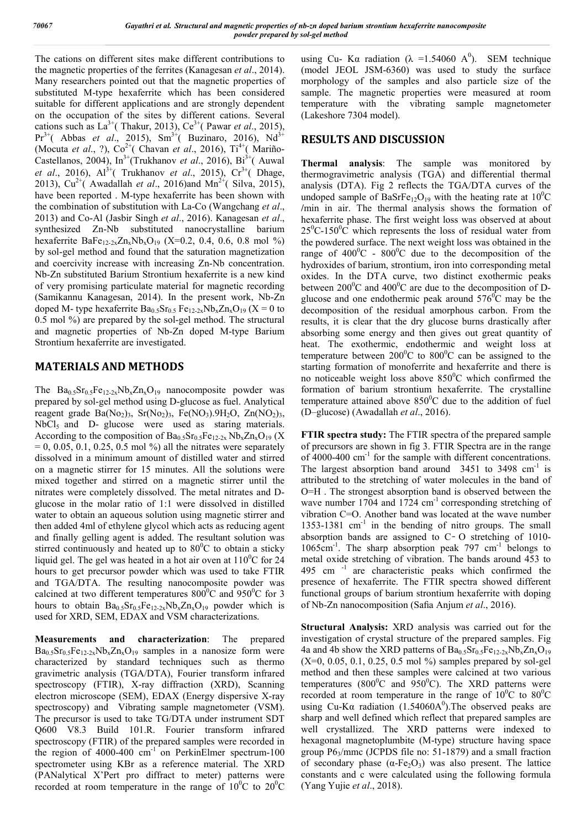The cations on different sites make different contributions to the magnetic properties of the ferrites (Kanagesan *et al*., 2014). Many researchers pointed out that the magnetic properties of substituted M-type hexaferrite which has been considered suitable for different applications and are strongly dependent on the occupation of the sites by different cations. Several cations such as  $La^{3+}$ (Thakur, 2013),  $Ce^{3+}$ (Pawar *et al.*, 2015),  $Pr^{3+}$ ( Abbas *et al.*, 2015), Sm<sup>3+</sup>( Buzinaro, 2016), Nd<sup>3+</sup> (Mocuta *et al.*, ?), Co<sup>2+</sup>( Chavan *et al.*, 2016), Ti<sup>4+</sup>( Mariño-Castellanos, 2004), In<sup>3+</sup>(Trukhanov *et al.*, 2016), Bi<sup>3+</sup>(Auwal *et al.*, 2016), Al<sup>3+</sup>(Trukhanov *et al.*, 2015), Cr<sup>3+</sup>(Dhage, 2013),  $Cu^{2+}$ ( Awadallah *et al.*, 2016)and Mn<sup>2+</sup>( Silva, 2015), have been reported . M-type hexaferrite has been shown with the combination of substitution with La-Co (Wangchang *et al*., 2013) and Co-Al (Jasbir Singh *et al*., 2016). Kanagesan *et al*., synthesized Zn-Nb substituted nanocrystalline barium hexaferrite BaFe<sub>12-2x</sub>Zn<sub>x</sub>Nb<sub>x</sub>O<sub>19</sub> (X=0.2, 0.4, 0.6, 0.8 mol %) by sol-gel method and found that the saturation magnetization and coercivity increase with increasing Zn-Nb concentration. Nb-Zn substituted Barium Strontium hexaferrite is a new kind of very promising particulate material for magnetic recording (Samikannu Kanagesan, 2014). In the present work, Nb-Zn doped M- type hexaferrite  $Ba_0$ ,  $Sr_0$ ,  $Fe_{12.2x}Nb_xZn_xO_{19}$  ( $X = 0$  to 0.5 mol %) are prepared by the sol-gel method. The structural and magnetic properties of Nb-Zn doped M-type Barium Strontium hexaferrite are investigated.

### **MATERIALS AND METHODS**

The  $Ba_{0.5}Sr_{0.5}Fe_{12-2x}Nb_xZn_xO_{19}$  nanocomposite powder was prepared by sol-gel method using D-glucose as fuel. Analytical reagent grade  $Ba(No_2)_3$ ,  $Sr(No_2)_3$ ,  $Fe(NO_3)$ .  $9H_2O$ ,  $Zn(NO_2)_3$ , NbCl<sub>5</sub> and D- glucose were used as staring materials. According to the composition of  $Ba<sub>0.5</sub>Sc<sub>0.5</sub>Fe<sub>12-2x</sub>Nb<sub>x</sub>Zn<sub>x</sub>O<sub>19</sub>$  (X  $= 0, 0.05, 0.1, 0.25, 0.5 \text{ mol } \%$  all the nitrates were separately dissolved in a minimum amount of distilled water and stirred on a magnetic stirrer for 15 minutes. All the solutions were mixed together and stirred on a magnetic stirrer until the nitrates were completely dissolved. The metal nitrates and Dglucose in the molar ratio of 1:1 were dissolved in distilled water to obtain an aqueous solution using magnetic stirrer and then added 4ml of ethylene glycol which acts as reducing agent and finally gelling agent is added. The resultant solution was stirred continuously and heated up to  $80^{\circ}$ C to obtain a sticky liquid gel. The gel was heated in a hot air oven at  $110^{\circ}$ C for 24 hours to get precursor powder which was used to take FTIR and TGA/DTA. The resulting nanocomposite powder was calcined at two different temperatures  $800^{\circ}$ C and  $950^{\circ}$ C for 3 hours to obtain  $Ba_{0.5}Sr_{0.5}Fe_{12-2x}Nb_xZn_xO_{19}$  powder which is used for XRD, SEM, EDAX and VSM characterizations.

**Measurements and characterization**: The prepared  $Ba<sub>0.5</sub>Sr<sub>0.5</sub>Fe<sub>12-2x</sub>Nb<sub>x</sub>Zn<sub>x</sub>O<sub>19</sub>$  samples in a nanosize form were characterized by standard techniques such as thermo gravimetric analysis (TGA/DTA), Fourier transform infrared spectroscopy (FTIR), X-ray diffraction (XRD), Scanning electron microscope (SEM), EDAX (Energy dispersive X-ray spectroscopy) and Vibrating sample magnetometer (VSM). The precursor is used to take TG/DTA under instrument SDT Q600 V8.3 Build 101.R. Fourier transform infrared spectroscopy (FTIR) of the prepared samples were recorded in the region of 4000-400 cm<sup>-1</sup> on PerkinElmer spectrum-100 spectrometer using KBr as a reference material. The XRD (PANalytical X'Pert pro diffract to meter) patterns were recorded at room temperature in the range of  $10^{0}$ C to  $20^{0}$ C

using Cu- K $\alpha$  radiation ( $\lambda$  =1.54060 A<sup>0</sup>). SEM technique (model JEOL JSM-6360) was used to study the surface morphology of the samples and also particle size of the sample. The magnetic properties were measured at room temperature with the vibrating sample magnetometer (Lakeshore 7304 model).

# **RESULTS AND DISCUSSION**

**Thermal analysis**: The sample was monitored by thermogravimetric analysis (TGA) and differential thermal analysis (DTA). Fig 2 reflects the TGA/DTA curves of the undoped sample of BaSrFe<sub>12</sub>O<sub>19</sub> with the heating rate at  $10^{0}$ C **/**min in air. The thermal analysis shows the formation of hexaferrite phase. The first weight loss was observed at about  $25^0$ C-150 $^0$ C which represents the loss of residual water from the powdered surface. The next weight loss was obtained in the range of  $400^{\circ}$ C -  $800^{\circ}$ C due to the decomposition of the hydroxides of barium, strontium, iron into corresponding metal oxides. In the DTA curve, two distinct exothermic peaks between  $200^{\circ}$ C and  $400^{\circ}$ C are due to the decomposition of Dglucose and one endothermic peak around  $576^{\circ}$ C may be the decomposition of the residual amorphous carbon. From the results, it is clear that the dry glucose burns drastically after absorbing some energy and then gives out great quantity of heat. The exothermic, endothermic and weight loss at temperature between  $200^{\circ}$ C to  $800^{\circ}$ C can be assigned to the starting formation of monoferrite and hexaferrite and there is no noticeable weight loss above  $850^{\circ}$ C which confirmed the formation of barium strontium hexaferrite. The crystalline temperature attained above  $850^{\circ}$ C due to the addition of fuel (D–glucose) (Awadallah *et al*., 2016).

**FTIR spectra study:** The FTIR spectra of the prepared sample of precursors are shown in fig 3. FTIR Spectra are in the range of 4000-400 cm-1 for the sample with different concentrations. The largest absorption band around  $3451$  to  $3498$  cm<sup>-1</sup> is attributed to the stretching of water molecules in the band of O=H . The strongest absorption band is observed between the wave number 1704 and 1724  $cm^{-1}$  corresponding stretching of vibration C=O. Another band was located at the wave number 1353-1381  $cm^{-1}$  in the bending of nitro groups. The small absorption bands are assigned to  $C$ - O stretching of 1010-1065cm<sup>-1</sup>. The sharp absorption peak 797 cm<sup>-1</sup> belongs to metal oxide stretching of vibration. The bands around 453 to 495 cm -1 are characteristic peaks which confirmed the presence of hexaferrite. The FTIR spectra showed different functional groups of barium strontium hexaferrite with doping of Nb-Zn nanocomposition (Safia Anjum *et al*., 2016).

**Structural Analysis:** XRD analysis was carried out for the investigation of crystal structure of the prepared samples. Fig 4a and 4b show the XRD patterns of  $Ba_{0.5}Sr_{0.5}Fe_{12-2x}Nb_xZn_xO_{19}$  $(X=0, 0.05, 0.1, 0.25, 0.5 \text{ mol } \%)$  samples prepared by sol-gel method and then these samples were calcined at two various temperatures ( $800^{\circ}$ C and  $950^{\circ}$ C). The XRD patterns were recorded at room temperature in the range of  $10^{0}$ C to  $80^{0}$ C using Cu-K $\alpha$  radiation (1.54060A<sup>0</sup>). The observed peaks are sharp and well defined which reflect that prepared samples are well crystallized. The XRD patterns were indexed to hexagonal magnetoplumbite (M-type) structure having space group  $P6_3/mmc$  (JCPDS file no: 51-1879) and a small fraction of secondary phase  $(\alpha$ -Fe<sub>2</sub>O<sub>3</sub>) was also present. The lattice constants and c were calculated using the following formula (Yang Yujie *et al*., 2018).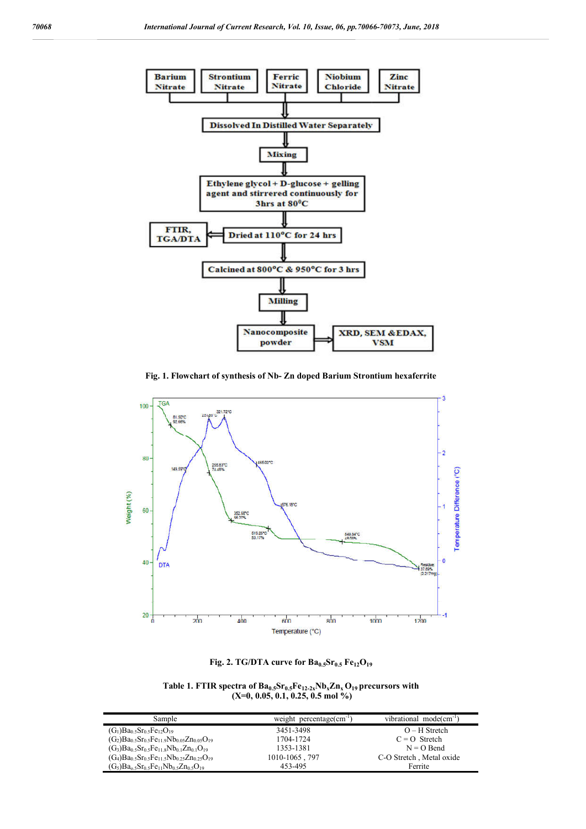

**Fig. 1. Flowchart of synthesis of Nb- Zn doped Barium Strontium hexaferrite**



**Fig. 2. TG/DTA curve for**  $Ba_{0.5}Sr_{0.5}Fe_{12}O_{19}$ 

Table 1. FTIR spectra of  $Ba_{0.5}Sr_{0.5}Fe_{12-2x}Nb_xZn_xO_{19}$  precursors with **(X=0, 0.05, 0.1, 0.25, 0.5 mol %)**

| Sample                                                                                                                      | weight percentage(cm <sup>-1</sup> | vibrational mode $(\text{cm}^{-1})$ |
|-----------------------------------------------------------------------------------------------------------------------------|------------------------------------|-------------------------------------|
| $(G_1)Ba_0$ 5 $Sr_0$ 5 $Fe_{12}O_{19}$                                                                                      | 3451-3498                          | $O-H$ Stretch                       |
| $(G_2)Ba_{0.5}Sr_{0.5}Fe_{11.9}Nb_{0.05}Zn_{0.05}O_{19}$                                                                    | 1704-1724                          | $C = Q$ Stretch                     |
| $(G_3)Ba_{0.5}Sr_{0.5}Fe_{11.8}Nb_{0.1}Zn_{0.1}O_{19}$                                                                      | 1353-1381                          | $N = O$ Bend                        |
| $(G_4)Ba_0$ <sub>5</sub> Sr <sub>0</sub> <sub>5</sub> Fe <sub>11</sub> 5Nb <sub>0</sub> 25Zn <sub>0</sub> 25O <sub>19</sub> | 1010-1065, 797                     | C-O Stretch, Metal oxide            |
| $(G_5)Ba_05Sr_05Fe_{11}Nb_05Zn_05O_{19}$                                                                                    | 453-495                            | Ferrite                             |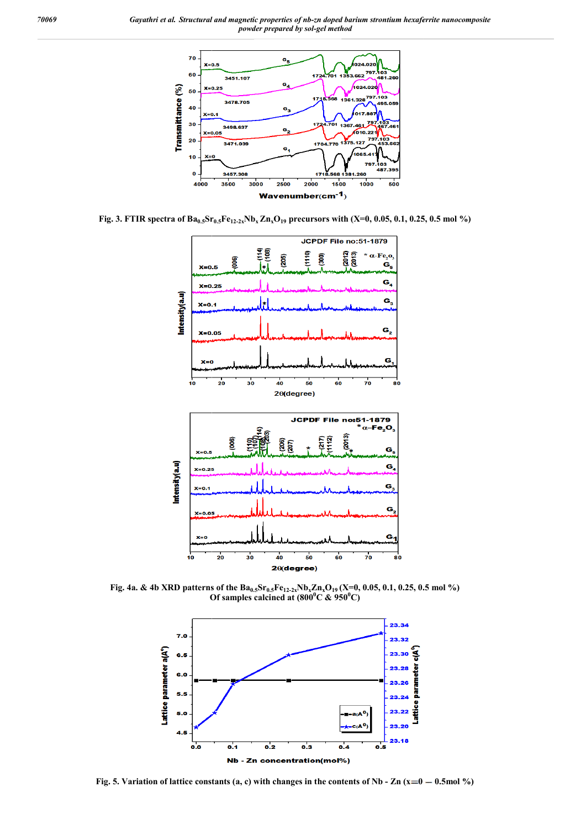

**Fig. 3. FTIR spectra of**  $Ba_{0.5}Sr_{0.5}Fe_{12-2x}Nb_x Zn_xO_{19}$  **precursors with (X=0, 0.05, 0.1, 0.25, 0.5 mol %)** 



**Fig. 4a. & 4b XRD patterns of the**  $Ba_{0.5}Sr_{0.5}Fe_{12.2x}Nb_xZn_xO_{19}$  **(X=0, 0.05, 0.1, 0.25, 0.5 mol %) Of samples calcined at (800<sup>0</sup> C & 950<sup>0</sup> C)**



**Fig. 5. Variation of lattice constants (a, c) with changes in the contents of Nb**  $\text{- Zn (x=0)}$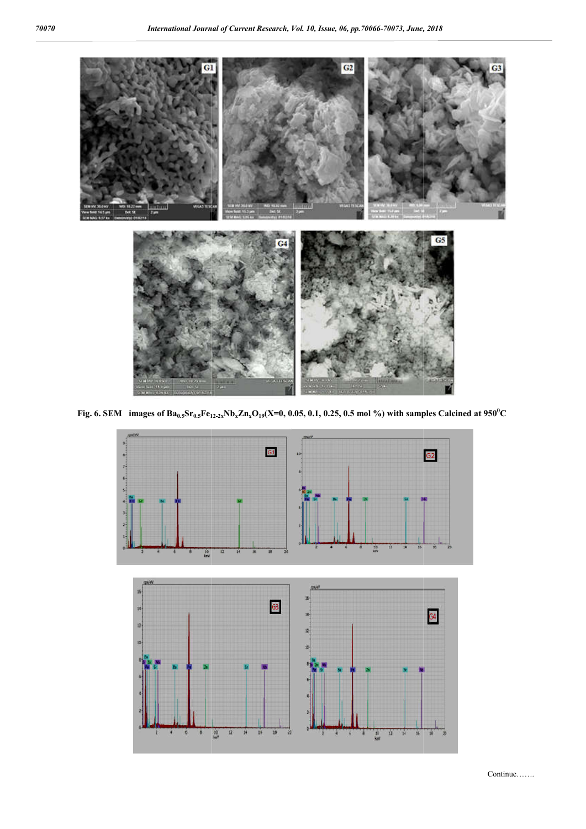

**Fig.** 6. SEM images of  $Ba_{0.5}Sr_{0.5}Fe_{12.2x}Nb_xZn_xO_{19}(X=0, 0.05, 0.1, 0.25, 0.5 \text{ mol } %)$  with samples Calcined at  $950^{\circ}$ C

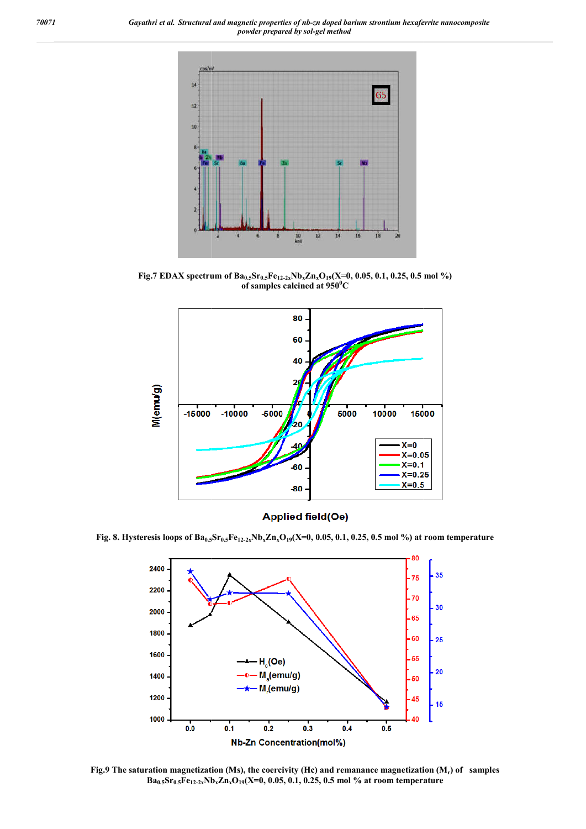*70071 Gayathri et al. Structural and magnetic properties of nb nb-zn doped barium strontium hexaferrite nanocomposite powder prepared by sol-gel method*



Fig.7 EDAX spectrum of Ba<sub>0.5</sub>Sr<sub>0.5</sub>Fe<sub>12-2x</sub>Nb<sub>x</sub>Zn<sub>x</sub>O<sub>19</sub>(X=0, 0.05, 0.1, 0.25, 0.5 mol %) **of samples calcined at 950<sup>0</sup> C**



**Fig. 8.** Hysteresis loops of  $\text{Ba}_{0.5}\text{Sr}_{0.5}\text{Fe}_{12\text{-}2x}\text{Nb}_{x}\text{Zn}_{x}\text{O}_{19}(\text{X=0},\,0.05,\,0.1,\,0.25,\,0.5$  mol %) at room temperature



Fig.9 The saturation magnetization (Ms), the coercivity (Hc) and remanance magnetization (M<sub>r</sub>) of samples **Ba0.5Sr0.5Fe12-2xNb NbxZnxO19(X=0, 0.05, 0.1, 0.25, 0.5 mol % at room temperature**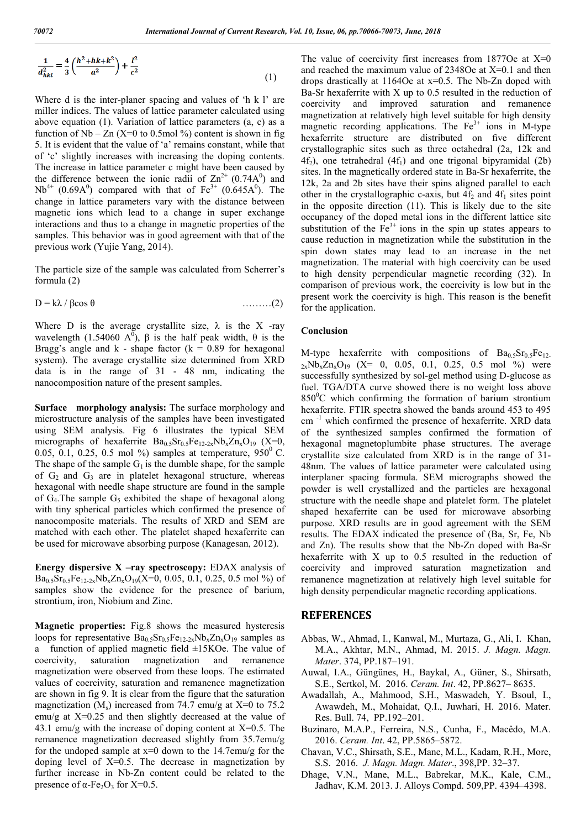$$
\frac{1}{d_{hkl}^2} = \frac{4}{3} \left( \frac{h^2 + hk + k^2}{a^2} \right) + \frac{l^2}{c^2}
$$
 (1)

Where d is the inter-planer spacing and values of 'h k l' are miller indices. The values of lattice parameter calculated using above equation (1). Variation of lattice parameters (a, c) as a function of Nb – Zn (X=0 to 0.5mol %) content is shown in fig 5. It is evident that the value of 'a' remains constant, while that of 'c' slightly increases with increasing the doping contents. The increase in lattice parameter c might have been caused by the difference between the ionic radii of  $\text{Zn}^{2+}$  (0.74A<sup>0</sup>) and  $Nb^{4+}$  (0.69A<sup>0</sup>) compared with that of Fe<sup>3+</sup> (0.645A<sup>0</sup>). The change in lattice parameters vary with the distance between magnetic ions which lead to a change in super exchange interactions and thus to a change in magnetic properties of the samples. This behavior was in good agreement with that of the previous work (Yujie Yang, 2014).

The particle size of the sample was calculated from Scherrer's formula (2)

 $D = k\lambda / \beta \cos \theta$  ………(2)

Where D is the average crystallite size,  $\lambda$  is the X -ray wavelength (1.54060  $A^0$ ),  $\beta$  is the half peak width,  $\theta$  is the Bragg's angle and  $k$  - shape factor ( $k = 0.89$  for hexagonal system). The average crystallite size determined from XRD data is in the range of 31 - 48 nm, indicating the nanocomposition nature of the present samples.

**Surface morphology analysis:** The surface morphology and microstructure analysis of the samples have been investigated using SEM analysis. Fig 6 illustrates the typical SEM micrographs of hexaferrite  $Ba_{0.5}Sr_{0.5}Fe_{12-2x}Nb_xZn_xO_{19}$  (X=0, 0.05, 0.1, 0.25, 0.5 mol %) samples at temperature,  $950^{\circ}$  C. The shape of the sample  $G_1$  is the dumble shape, for the sample of  $G_2$  and  $G_3$  are in platelet hexagonal structure, whereas hexagonal with needle shape structure are found in the sample of  $G_4$ . The sample  $G_5$  exhibited the shape of hexagonal along with tiny spherical particles which confirmed the presence of nanocomposite materials. The results of XRD and SEM are matched with each other. The platelet shaped hexaferrite can be used for microwave absorbing purpose (Kanagesan, 2012).

**Energy dispersive X –ray spectroscopy:** EDAX analysis of  $Ba_{0.5}Sr_{0.5}Fe_{12-2x}Nb_{x}Zn_{x}O_{19}(X=0, 0.05, 0.1, 0.25, 0.5 \text{ mol } \%)$  of samples show the evidence for the presence of barium, strontium, iron, Niobium and Zinc.

**Magnetic properties:** Fig.8 shows the measured hysteresis loops for representative  $Ba_{0.5}Sr_{0.5}Fe_{12-2x}Nb_xZn_xO_{19}$  samples as a function of applied magnetic field  $\pm 15$ KOe. The value of coercivity, saturation magnetization and remanence magnetization were observed from these loops. The estimated values of coercivity, saturation and remanence magnetization are shown in fig 9. It is clear from the figure that the saturation magnetization  $(M_s)$  increased from 74.7 emu/g at X=0 to 75.2 emu/g at X=0.25 and then slightly decreased at the value of 43.1 emu/g with the increase of doping content at  $X=0.5$ . The remanence magnetization decreased slightly from 35.7emu/g for the undoped sample at  $x=0$  down to the 14.7emu/g for the doping level of  $X=0.5$ . The decrease in magnetization by further increase in Nb-Zn content could be related to the presence of  $\alpha$ -Fe<sub>2</sub>O<sub>3</sub> for X=0.5.

The value of coercivity first increases from  $1877$ Oe at  $X=0$ and reached the maximum value of 2348Oe at X=0.1 and then drops drastically at 1164Oe at x=0.5. The Nb-Zn doped with Ba-Sr hexaferrite with X up to 0.5 resulted in the reduction of coercivity and improved saturation and remanence magnetization at relatively high level suitable for high density magnetic recording applications. The  $Fe<sup>3+</sup>$  ions in M-type hexaferrite structure are distributed on five different crystallographic sites such as three octahedral (2a, 12k and  $4f<sub>2</sub>$ ), one tetrahedral  $(4f<sub>1</sub>)$  and one trigonal bipyramidal (2b) sites. In the magnetically ordered state in Ba-Sr hexaferrite, the 12k, 2a and 2b sites have their spins aligned parallel to each other in the crystallographic c-axis, but  $4f_2$  and  $4f_1$  sites point in the opposite direction (11). This is likely due to the site occupancy of the doped metal ions in the different lattice site substitution of the  $Fe<sup>3+</sup>$  ions in the spin up states appears to cause reduction in magnetization while the substitution in the spin down states may lead to an increase in the net magnetization. The material with high coercivity can be used to high density perpendicular magnetic recording (32). In comparison of previous work, the coercivity is low but in the present work the coercivity is high. This reason is the benefit for the application.

#### **Conclusion**

M-type hexaferrite with compositions of  $Ba_{0.5}Sr_{0.5}Fe_{12}$ .  $_{2x}Nb_{x}Zn_{x}O_{19}$  (X= 0, 0.05, 0.1, 0.25, 0.5 mol %) were successfully synthesized by sol-gel method using D-glucose as fuel. TGA/DTA curve showed there is no weight loss above 850°C which confirming the formation of barium strontium hexaferrite. FTIR spectra showed the bands around 453 to 495 cm<sup>-1</sup> which confirmed the presence of hexaferrite. XRD data of the synthesized samples confirmed the formation of hexagonal magnetoplumbite phase structures. The average crystallite size calculated from XRD is in the range of 31- 48nm. The values of lattice parameter were calculated using interplaner spacing formula. SEM micrographs showed the powder is well crystallized and the particles are hexagonal structure with the needle shape and platelet form. The platelet shaped hexaferrite can be used for microwave absorbing purpose. XRD results are in good agreement with the SEM results. The EDAX indicated the presence of (Ba, Sr, Fe, Nb and Zn). The results show that the Nb-Zn doped with Ba-Sr hexaferrite with X up to 0.5 resulted in the reduction of coercivity and improved saturation magnetization and remanence magnetization at relatively high level suitable for high density perpendicular magnetic recording applications.

#### **REFERENCES**

- Abbas, W., Ahmad, I., Kanwal, M., Murtaza, G., Ali, I. Khan, M.A., Akhtar, M.N., Ahmad, M. 2015. *J. Magn. Magn. Mater*. 374, PP.187–191.
- Auwal, I.A., Güngünes, H., Baykal, A., Güner, S., Shirsath, S.E., Sertkol, M. 2016. *Ceram. Int*. 42, PP.8627– 8635.
- Awadallah, A., Mahmood, S.H., Maswadeh, Y. Bsoul, I., Awawdeh, M., Mohaidat, Q.I., Juwhari, H. 2016. Mater. Res. Bull. 74, PP.192–201.
- Buzinaro, M.A.P., Ferreira, N.S., Cunha, F., Macêdo, M.A. 2016. *Ceram. Int*. 42, PP.5865–5872.
- Chavan, V.C., Shirsath, S.E., Mane, M.L., Kadam, R.H., More, S.S. 2016. *J. Magn. Magn. Mater*., 398,PP. 32–37.
- Dhage, V.N., Mane, M.L., Babrekar, M.K., Kale, C.M., Jadhav, K.M. 2013. J. Alloys Compd. 509,PP. 4394–4398.